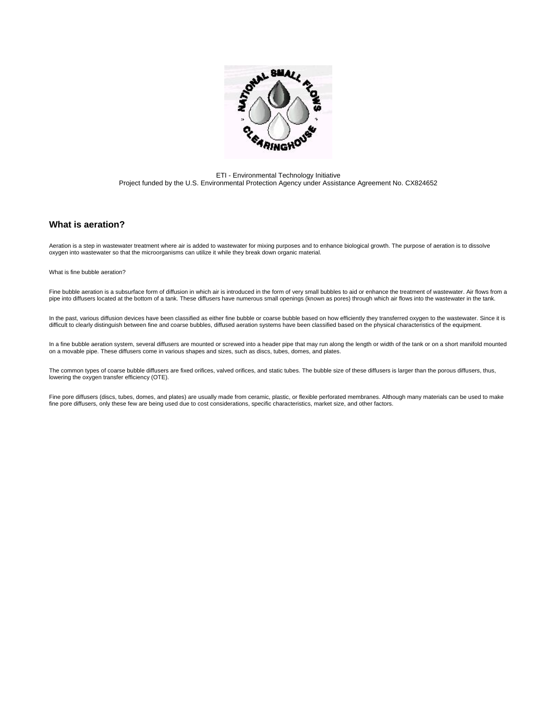

ETI - Environmental Technology Initiative Project funded by the U.S. Environmental Protection Agency under Assistance Agreement No. CX824652

### **What is aeration?**

Aeration is a step in wastewater treatment where air is added to wastewater for mixing purposes and to enhance biological growth. The purpose of aeration is to dissolve<br>oxygen into wastewater so that the microorganisms can

What is fine bubble aeration?

Fine bubble aeration is a subsurface form of diffusion in which air is introduced in the form of very small bubbles to aid or enhance the treatment of wastewater. Air flows from a<br>pipe into diffusers located at the bottom

In the past, various diffusion devices have been classified as either fine bubble or coarse bubble based on how efficiently they transferred oxygen to the wastewater. Since it is difficult to clearly distinguish between fine and coarse bubbles, diffused aeration systems have been classified based on the physical characteristics of the equipment.

In a fine bubble aeration system, several diffusers are mounted or screwed into a header pipe that may run along the length or width of the tank or on a short manifold mounted on a movable pipe. These diffusers come in various shapes and sizes, such as discs, tubes, domes, and plates.

The common types of coarse bubble diffusers are fixed orifices, valved orifices, and static tubes. The bubble size of these diffusers is larger than the porous diffusers, thus, lowering the oxygen transfer efficiency (OTE).

Fine pore diffusers (discs, tubes, domes, and plates) are usually made from ceramic, plastic, or flexible perforated membranes. Although many materials can be used to make fine pore diffusers, only these few are being used due to cost considerations, specific characteristics, market size, and other factors.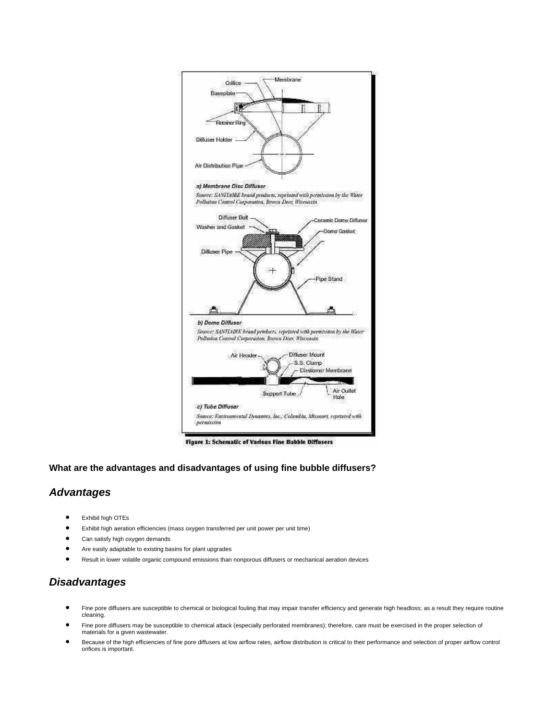

Figure 1: Schematic of Various Fine Bubble Diffusers

#### **What are the advantages and disadvantages of using fine bubble diffusers?**

## *Advantages*

- Exhibit high OTEs
- Exhibit high aeration efficiencies (mass oxygen transferred per unit power per unit time)
- Can satisfy high oxygen demands
- Are easily adaptable to existing basins for plant upgrades
- Result in lower volatile organic compound emissions than nonporous diffusers or mechanical aeration devices

## *Disadvantages*

- Fine pore diffusers are susceptible to chemical or biological fouling that may impair transfer efficiency and generate high headloss; as a result they require routine cleaning.
- Fine pore diffusers may be susceptible to chemical attack (especially perforated membranes); therefore, care must be exercised in the proper selection of materials for a given wastewater.
- Because of the high efficiencies of fine pore diffusers at low airflow rates, airflow distribution is critical to their performance and selection of proper airflow control orifices is important.